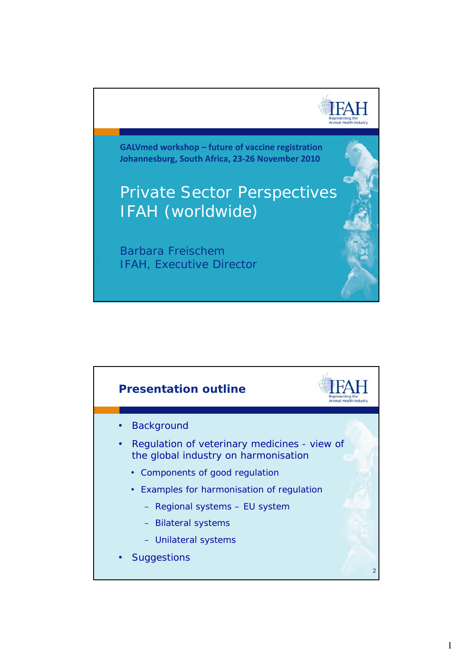

**GALVmed workshop – future of vaccine registration Johannesburg South Africa 23‐26 November 2010 Johannesburg, Africa,**

## Private Sector Perspectives IFAH (worldwide)

Barbara Freischem IFAH, Executive Director

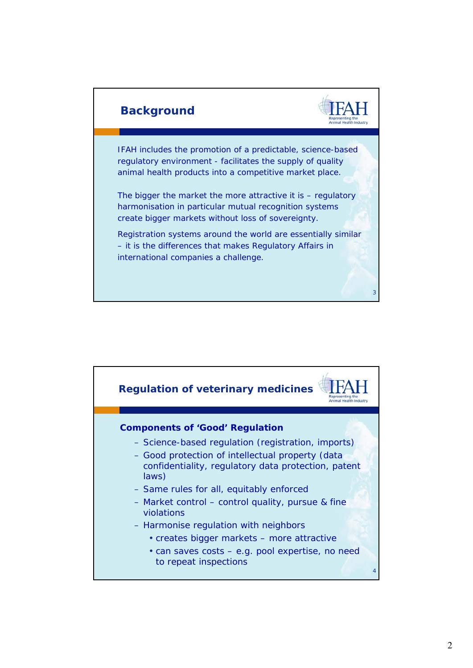

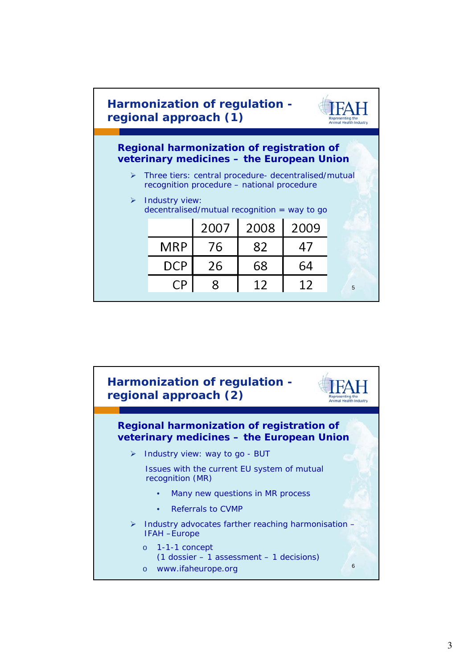

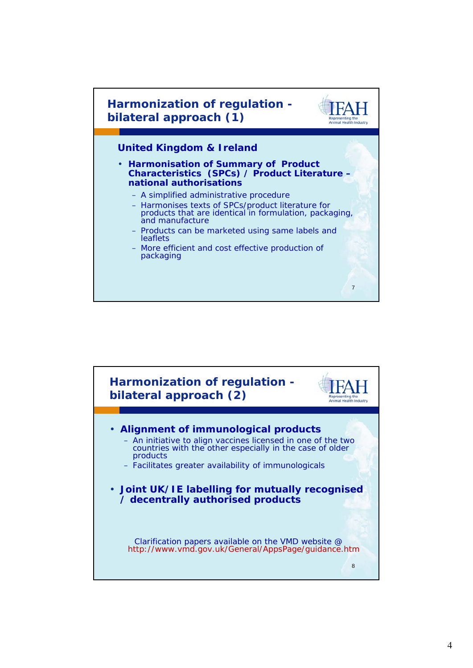

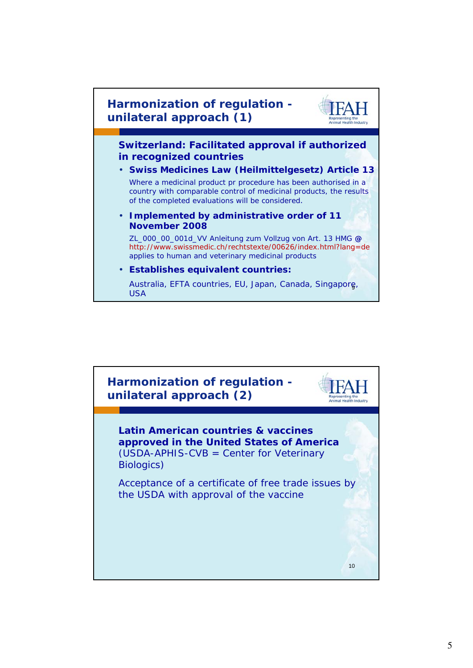

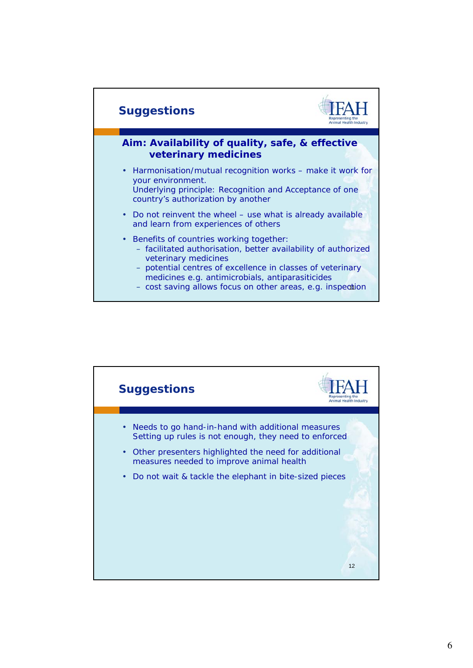